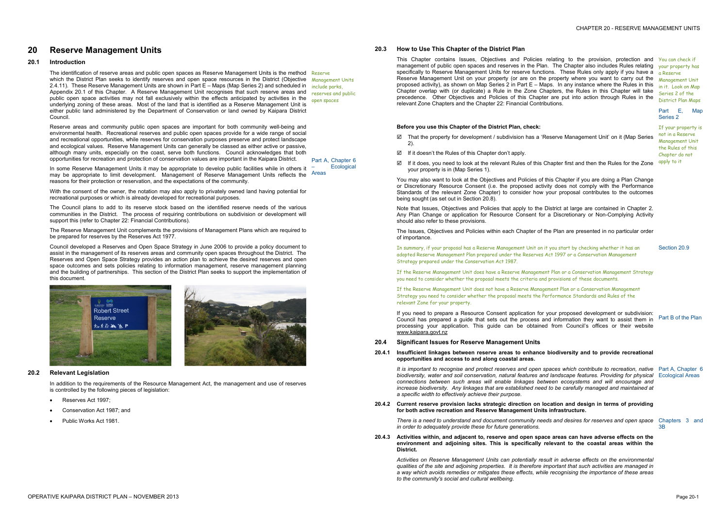# **20 Reserve Management Units**

## **20.1 Introduction**

The identification of reserve areas and public open spaces as Reserve Management Units is the method Reserve which the District Plan seeks to identify reserves and open space resources in the District (Objective Management Units 2.4.11). These Reserve Management Units are shown in Part E – Maps (Map Series 2) and scheduled in Appendix 20.1 of this Chapter. A Reserve Management Unit recognises that such reserve areas and public open space activities may not fall exclusively within the effects anticipated by activities in the underlying zoning of these areas. Most of the land that is identified as a Reserve Management Unit is either public land administered by the Department of Conservation or land owned by Kaipara District Council.

Reserve areas and community public open spaces are important for both community well-being and environmental health. Recreational reserves and public open spaces provide for a wide range of social and recreational opportunities, while reserves for conservation purposes preserve and protect landscape and ecological values. Reserve Management Units can generally be classed as either active or passive, although many units, especially on the coast, serve both functions. Council acknowledges that both opportunities for recreation and protection of conservation values are important in the Kaipara District.

Part A, Chapter 6 **F**cological

- · Reserves Act 1997;
- Conservation Act 1987; and
- Public Works Act 1981.

With the consent of the owner, the notation may also apply to privately owned land having potential for recreational purposes or which is already developed for recreational purposes.

This Chapter contains Issues, Objectives and Policies relating to the provision, protection and You can check if management of public open spaces and reserves in the Plan. The Chapter also includes Rules relating vour property has specifically to Reserve Management Units for reserve functions. These Rules only apply if you have a Reserve Management Unit on your property (or are on the property where you want to carry out the proposed activity), as shown on Map Series 2 in Part E – Maps. In any instance where the Rules in this Chapter overlap with (or duplicate) a Rule in the Zone Chapters, the Rules in this Chapter will take precedence. Other Objectives and Policies of this Chapter are put into action through Rules in the relevant Zone Chapters and the Chapter 22: Financial Contributions.

The Council plans to add to its reserve stock based on the identified reserve needs of the various communities in the District. The process of requiring contributions on subdivision or development will support this (refer to Chapter 22: Financial Contributions).

In some Reserve Management Units it may be appropriate to develop public facilities while in others it may be appropriate to limit development. Management of Reserve Management Units reflects the reasons for their protection or reservation, and the expectations of the community. Areas

The Reserve Management Unit complements the provisions of Management Plans which are required to be prepared for reserves by the Reserves Act 1977.

Council developed a Reserves and Open Space Strategy in June 2006 to provide a policy document to assist in the management of its reserves areas and community open spaces throughout the District. The Reserves and Open Space Strategy provides an action plan to achieve the desired reserves and open space outcomes and sets policies relating to information management, reserve management planning and the building of partnerships. This section of the District Plan seeks to support the implementation of this document.

include parks, reserves and public open spaces



### **20.2 Relevant Legislation**

In addition to the requirements of the Resource Management Act, the management and use of reserves is controlled by the following pieces of legislation:

## **20.3 How to Use This Chapter of the District Plan**

It is important to recognise and protect reserves and open spaces which contribute to recreation, native Part A, Chapter 6 *biodiversity, water and soil conservation, natural features and landscape features. Providing for physical*  Ecological Areas *connections between such areas will enable linkages between ecosystems and will encourage and increase biodiversity. Any linkages that are established need to be carefully managed and maintained at a specific width to effectively achieve their purpose.* 

There is a need to understand and document community needs and desires for reserves and open space Chapters 3 and *in order to adequately provide these for future generations.* 

a Reserve Management Unit in it. Look on Map Series 2 of the District Plan Maps

Part E, Map Series 2

### **Before you use this Chapter of the District Plan, check:**

- ˛ That the property for development / subdivision has a 'Reserve Management Unit' on it (Map Series 2).
- ˛ If it doesn't the Rules of this Chapter don't apply.
- $\boxtimes$  If it does, you need to look at the relevant Rules of this Chapter first and then the Rules for the Zone your property is in (Map Series 1).

You may also want to look at the Objectives and Policies of this Chapter if you are doing a Plan Change or Discretionary Resource Consent (i.e. the proposed activity does not comply with the Performance Standards of the relevant Zone Chapter) to consider how your proposal contributes to the outcomes being sought (as set out in Section 20.8).

Note that Issues, Objectives and Policies that apply to the District at large are contained in Chapter 2. Any Plan Change or application for Resource Consent for a Discretionary or Non-Complying Activity should also refer to these provisions.

The Issues, Objectives and Policies within each Chapter of the Plan are presented in no particular order of importance.

If your property is not in a Reserve Management Unit the Rules of this Chapter do not apply to it

In summary, if your proposal has a Reserve Management Unit on it you start by checking whether it has an adopted Reserve Management Plan prepared under the Reserves Act 1997 or a Conservation Management Strategy prepared under the Conservation Act 1987.

If the Reserve Management Unit does have a Reserve Management Plan or a Conservation Management Strategy you need to consider whether the proposal meets the criteria and provisions of these documents.

If the Reserve Management Unit does not have a Reserve Management Plan or a Conservation Management Strategy you need to consider whether the proposal meets the Performance Standards and Rules of the relevant Zone for your property.

If you need to prepare a Resource Consent application for your proposed development or subdivision: Council has prepared a guide that sets out the process and information they want to assist them in Part B of the Plan processing your application. This guide can be obtained from Council's offices or their website [www.kaipara.govt.nz](http://www.kaipara.govt.nz)

Section 20.9

### **20.4 Significant Issues for Reserve Management Units**

### **20.4.1 Insufficient linkages between reserve areas to enhance biodiversity and to provide recreational opportunities and access to and along coastal areas.**

### **20.4.2 Current reserve provision lacks strategic direction on location and design in terms of providing for both active recreation and Reserve Management Units infrastructure.**

3B

**20.4.3 Activities within, and adjacent to, reserve and open space areas can have adverse effects on the environment and adjoining sites. This is specifically relevant to the coastal areas within the District.** 

*Activities on Reserve Management Units can potentially result in adverse effects on the environmental*  qualities of the site and adjoining properties. It is therefore important that such activities are managed in *a way which avoids remedies or mitigates these effects, while recognising the importance of these areas to the community's social and cultural wellbeing.*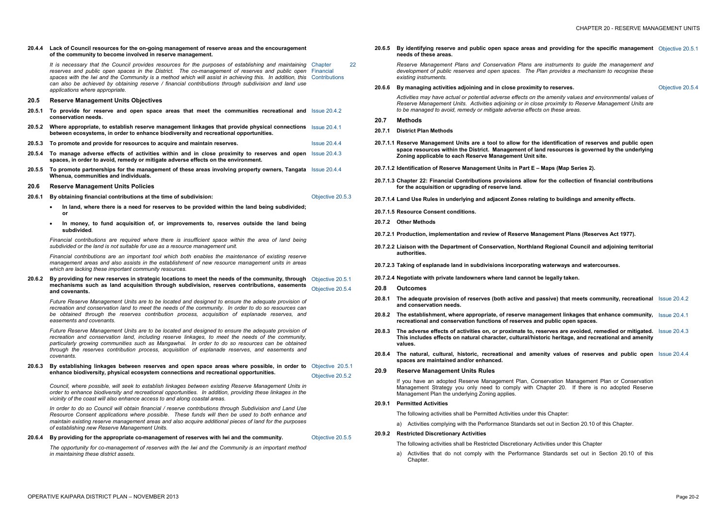#### **20.4.4 Lack of Council resources for the on-going management of reserve areas and the encouragement of the community to become involved in reserve management.**

*It is necessary that the Council provides resources for the purposes of establishing and maintaining*  Chapter 22 *reserves and public open spaces in the District. The co-management of reserves and public open*  Financial spaces with the Iwi and the Community is a method which will assist in achieving this. In addition, this Contributions *can also be achieved by obtaining reserve / financial contributions through subdivision and land use applications where appropriate.* 

### **20.5 Reserve Management Units Objectives**

- **20.5.1 To provide for reserve and open space areas that meet the communities recreational and**  Issue 20.4.2 **conservation needs.**
- **20.5.2 Where appropriate, to establish reserve management linkages that provide physical connections**  Issue 20.4.1 **between ecosystems, in order to enhance biodiversity and recreational opportunities.**
- **20.5.3 To promote and provide for resources to acquire and maintain reserves.** Issue 20.4.4
- **20.5.4 To manage adverse effects of activities within and in close proximity to reserves and open**  Issue 20.4.3 **spaces, in order to avoid, remedy or mitigate adverse effects on the environment.**
- **20.5.5 To promote partnerships for the management of these areas involving property owners, Tangata**  Issue 20.4.4 **Whenua, communities and individuals.**

20.6.2 By providing for new reserves in strategic locations to meet the needs of the community, through Objective 20.5.1 **mechanisms such as land acquisition through subdivision, reserves contributions, easements and covenants.**  Objective 20.5.4

#### **20.6 Reserve Management Units Policies**

- **20.6.1 By obtaining financial contributions at the time of subdivision:** 
	- · **In land, where there is a need for reserves to be provided within the land being subdivided; or**
	- · **In money, to fund acquisition of, or improvements to, reserves outside the land being subdivided**.

Objective 20.5.3

*Financial contributions are required where there is insufficient space within the area of land being subdivided or the land is not suitable for use as a resource management unit.* 

*Financial contributions are an important tool which both enables the maintenance of existing reserve management areas and also assists in the establishment of new resource management units in areas which are lacking these important community resources.* 

*Future Reserve Management Units are to be located and designed to ensure the adequate provision of recreation and conservation land to meet the needs of the community. In order to do so resources can be obtained through the reserves contribution process, acquisition of esplanade reserves, and easements and covenants.* 

*Future Reserve Management Units are to be located and designed to ensure the adequate provision of recreation and conservation land, including reserve linkages, to meet the needs of the community, particularly growing communities such as Mangawhai. In order to do so resources can be obtained through the reserves contribution process, acquisition of esplanade reserves*, *and easements and covenants.* 

**20.6.3 By establishing linkages between reserves and open space areas where possible, in order to**  Objective 20.5.1 **enhance biodiversity, physical ecosystem connections and recreational opportunities.**  Objective 20.5.2

*Council, where possible, will seek to establish linkages between existing Reserve Management Units in order to enhance biodiversity and recreational opportunities. In addition, providing these linkages in the vicinity of the coast will also enhance access to and along coastal areas.* 

*In order to do so Council will obtain financial / reserve contributions through Subdivision and Land Use Resource Consent applications where possible. These funds will then be used to both enhance and maintain existing reserve management areas and also acquire additional pieces of land for the purposes of establishing new Reserve Management Units.* 

**20.6.4 By providing for the appropriate co-management of reserves with Iwi and the community.** Objective 20.5.5

*The opportunity for co-management of reserves with the Iwi and the Community is an important method in maintaining these district assets.* 

**20.6.5 By identifying reserve and public open space areas and providing for the specific management**  Objective 20.5.1 **needs of these areas.** 

*Reserve Management Plans and Conservation Plans are instruments to guide the management and development of public reserves and open spaces. The Plan provides a mechanism to recognise these existing instruments.* 

**20.6.6 By managing activities adjoining and in close proximity to reserves.** Objective 20.5.4

*Activities may have actual or potential adverse effects on the amenity values and environmental values of Reserve Management Units. Activities adjoining or in close proximity to Reserve Management Units are to be managed to avoid, remedy or mitigate adverse effects on these areas.* 

- **20.7 Methods**
- **20.7.1 District Plan Methods**
- **20.7.1.1 Reserve Management Units are a tool to allow for the identification of reserves and public open space resources within the District. Management of land resources is governed by the underlying Zoning applicable to each Reserve Management Unit site.**
- **20.7.1.2 Identification of Reserve Management Units in Part E – Maps (Map Series 2).**
- **20.7.1.3 Chapter 22: Financial Contributions provisions allow for the collection of financial contributions for the acquisition or upgrading of reserve land.**
- **20.7.1.4 Land Use Rules in underlying and adjacent Zones relating to buildings and amenity effects.**
- **20.7.1.5 Resource Consent conditions.**
- **20.7.2 Other Methods**

- **20.7.2.1 Production, implementation and review of Reserve Management Plans (Reserves Act 1977).**
- **20.7.2.2 Liaison with the Department of Conservation, Northland Regional Council and adjoining territorial authorities.**
- **20.7.2.3 Taking of esplanade land in subdivisions incorporating waterways and watercourses.**
- **20.7.2.4 Negotiate with private landowners where land cannot be legally taken.**
- **20.8 Outcomes**
- **20.8.1 The adequate provision of reserves (both active and passive) that meets community, recreational**  Issue 20.4.2 **and conservation needs.**
- **20.8.2 The establishment, where appropriate, of reserve management linkages that enhance community,**  Issue 20.4.1 **recreational and conservation functions of reserves and public open spaces.**
- 20.8.3 The adverse effects of activities on, or proximate to, reserves are avoided, remedied or mitigated. Issue 20.4.3 **This includes effects on natural character, cultural/historic heritage, and recreational and amenity values.**
- **20.8.4 The natural, cultural, historic, recreational and amenity values of reserves and public open**  Issue 20.4.4 **spaces are maintained and/or enhanced.**
- **20.9 Reserve Management Units Rules**

If you have an adopted Reserve Management Plan, Conservation Management Plan or Conservation Management Strategy you only need to comply with Chapter 20. If there is no adopted Reserve Management Plan the underlying Zoning applies.

#### **20.9.1 Permitted Activities**

- The following activities shall be Permitted Activities under this Chapter:
	- a) Activities complying with the Performance Standards set out in Section 20.10 of this Chapter.
- **20.9.2 Restricted Discretionary Activities** 
	- The following activities shall be Restricted Discretionary Activities under this Chapter
	- a) Activities that do not comply with the Performance Standards set out in Section 20.10 of this Chapter.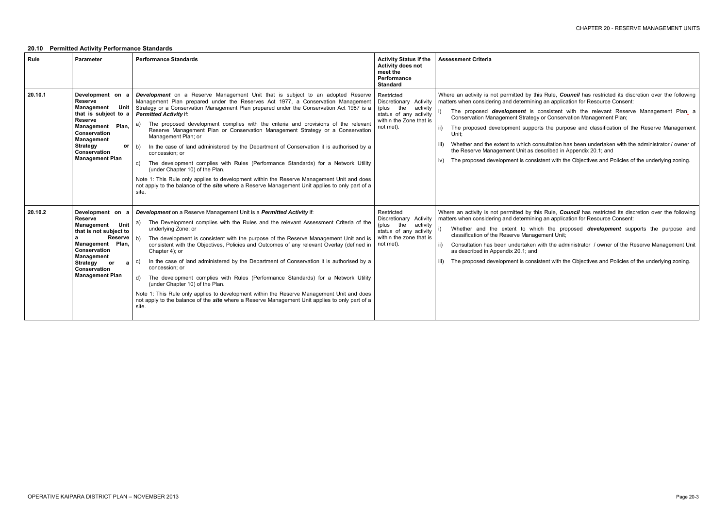- Rule, *Council* has restricted its discretion over the following n application for Resource Consent:
- sistent with the relevant Reserve Management Plan, a Conservation Management Plan;
- the purpose and classification of the Reserve Management
- Itation has been undertaken with the administrator / owner of ribed in Appendix 20.1; and
- t with the Objectives and Policies of the underlying zoning.
- Rule, *Council* has restricted its discretion over the following matters when the determining and determining and determining and determining and  $\frac{1}{2}$
- the proposed **development** supports the purpose and ent Unit;
- the administrator / owner of the Reserve Management Unit
- t with the Objectives and Policies of the underlying zoning.

# **20.10 Permitted Activity Performance Standards**

| Rule    | <b>Parameter</b>                                                                                                                                                                                                                                | <b>Performance Standards</b>                                                                                                                                                                                                                                                                                                                                                                                                                                                                                                                                                                                                                                                                                                                                                                                                                                                                                                                                               | <b>Activity Status if the</b><br>Activity does not<br>meet the<br>Performance<br><b>Standard</b>                                   | <b>Assessment Criteria</b>                                                                                                                                                                                                                                                                                                                                                     |
|---------|-------------------------------------------------------------------------------------------------------------------------------------------------------------------------------------------------------------------------------------------------|----------------------------------------------------------------------------------------------------------------------------------------------------------------------------------------------------------------------------------------------------------------------------------------------------------------------------------------------------------------------------------------------------------------------------------------------------------------------------------------------------------------------------------------------------------------------------------------------------------------------------------------------------------------------------------------------------------------------------------------------------------------------------------------------------------------------------------------------------------------------------------------------------------------------------------------------------------------------------|------------------------------------------------------------------------------------------------------------------------------------|--------------------------------------------------------------------------------------------------------------------------------------------------------------------------------------------------------------------------------------------------------------------------------------------------------------------------------------------------------------------------------|
| 20.10.1 | Development on a<br><b>Reserve</b><br>Management<br>Unit<br>that is subject to a<br><b>Reserve</b><br>Plan,<br>Management<br><b>Conservation</b><br><b>Management</b><br><b>Strategy</b><br>or<br><b>Conservation</b><br><b>Management Plan</b> | <b>Development</b> on a Reserve Management Unit that is subject to an adopted Reserve<br>Management Plan prepared under the Reserves Act 1977, a Conservation Management<br>Strategy or a Conservation Management Plan prepared under the Conservation Act 1987 is a<br><b>Permitted Activity if:</b><br>The proposed development complies with the criteria and provisions of the relevant<br>a)<br>Reserve Management Plan or Conservation Management Strategy or a Conservation<br>Management Plan; or<br>In the case of land administered by the Department of Conservation it is authorised by a<br>b)<br>concession; or<br>The development complies with Rules (Performance Standards) for a Network Utility<br>C)<br>(under Chapter 10) of the Plan.<br>Note 1: This Rule only applies to development within the Reserve Management Unit and does<br>not apply to the balance of the <i>site</i> where a Reserve Management Unit applies to only part of a<br>site. | Restricted<br>Discretionary Activity<br>(plus<br>the<br>activity<br>status of any activity<br>within the Zone that is<br>not met). | Where an activity is not permitted by this Ru<br>matters when considering and determining an<br>The proposed development is cons<br>Conservation Management Strategy or 0<br>The proposed development supports th<br>ii)<br>Unit;<br>Whether and the extent to which consult<br>iii)<br>the Reserve Management Unit as descri<br>The proposed development is consistent<br>iv) |
| 20.10.2 | Development on a<br><b>Reserve</b><br>Management<br>Unit<br>that is not subject to<br><b>Reserve</b><br>a<br>Management Plan,<br><b>Conservation</b><br><b>Management</b><br>Strategy or<br>a<br><b>Conservation</b><br><b>Management Plan</b>  | Development on a Reserve Management Unit is a Permitted Activity if:<br>The Development complies with the Rules and the relevant Assessment Criteria of the<br>a)<br>underlying Zone; or<br>b)<br>The development is consistent with the purpose of the Reserve Management Unit and is<br>consistent with the Objectives, Policies and Outcomes of any relevant Overlay (defined in<br>Chapter 4); or<br>In the case of land administered by the Department of Conservation it is authorised by a<br>C)<br>concession: or<br>The development complies with Rules (Performance Standards) for a Network Utility<br>d)<br>(under Chapter 10) of the Plan.<br>Note 1: This Rule only applies to development within the Reserve Management Unit and does<br>not apply to the balance of the <i>site</i> where a Reserve Management Unit applies to only part of a<br>site.                                                                                                     | Restricted<br>Discretionary Activity<br>the<br>activity<br>(plus<br>status of any activity<br>within the zone that is<br>not met). | Where an activity is not permitted by this Ru<br>matters when considering and determining an<br>Whether and the extent to which t<br>classification of the Reserve Managemer<br>Consultation has been undertaken with<br>ii)<br>as described in Appendix 20.1; and<br>The proposed development is consistent<br>iii)                                                           |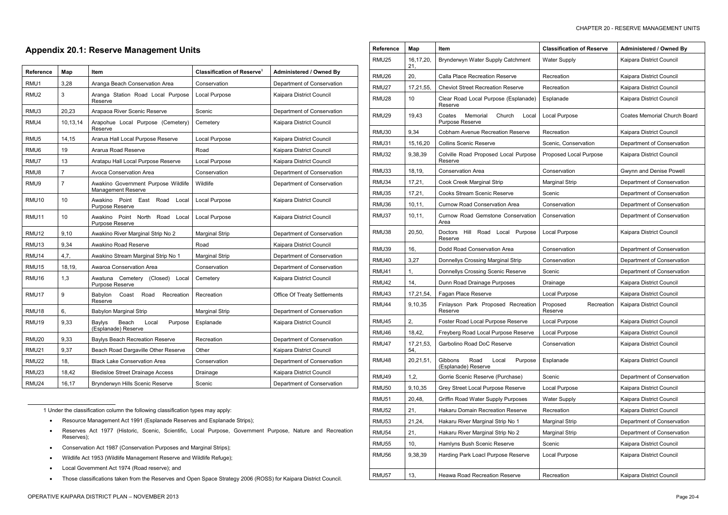-

# **Appendix 20.1: Reserve Management Units**

| Reference        | Map            | ltem                                                              | <b>Classification of Reserve</b> | <b>Administered / Owned By</b> |
|------------------|----------------|-------------------------------------------------------------------|----------------------------------|--------------------------------|
| RMU1             | 3,28           | Aranga Beach Conservation Area                                    | Conservation                     | Department of Conservation     |
| RMU <sub>2</sub> | 3              | Aranga Station Road Local Purpose<br>Reserve                      | Local Purpose                    | Kaipara District Council       |
| RMU3             | 20,23          | Arapaoa River Scenic Reserve                                      | Scenic                           | Department of Conservation     |
| RMU4             | 10,13,14       | Arapohue Local Purpose (Cemetery)<br>Reserve                      | Cemetery                         | Kaipara District Council       |
| RMU5             | 14,15          | Ararua Hall Local Purpose Reserve                                 | Local Purpose                    | Kaipara District Council       |
| RMU6             | 19             | Ararua Road Reserve                                               | Road                             | Kaipara District Council       |
| RMU7             | 13             | Aratapu Hall Local Purpose Reserve                                | Local Purpose                    | Kaipara District Council       |
| RMU8             | $\overline{7}$ | Avoca Conservation Area                                           | Conservation                     | Department of Conservation     |
| RMU9             | 7              | Awakino Government Purpose Wildlife<br>Management Reserve         | Wildlife                         | Department of Conservation     |
| RMU10            | 10             | Awakino<br>Point<br>East Road<br>Local<br>Purpose Reserve         | Local Purpose                    | Kaipara District Council       |
| RMU11            | 10             | Awakino Point<br>North<br>Road<br>Local<br>Purpose Reserve        | Local Purpose                    | Kaipara District Council       |
| RMU12            | 9,10           | Awakino River Marginal Strip No 2                                 | <b>Marginal Strip</b>            | Department of Conservation     |
| RMU13            | 9,34           | Awakino Road Reserve                                              | Road                             | Kaipara District Council       |
| RMU14            | 4,7,           | Awakino Stream Marginal Strip No 1                                | <b>Marginal Strip</b>            | Department of Conservation     |
| RMU15            | 18,19,         | Awaroa Conservation Area                                          | Conservation                     | Department of Conservation     |
| RMU16            | 1,3            | Awatuna Cemetery<br>(Closed)<br>Local<br>Purpose Reserve          | Cemetery                         | Kaipara District Council       |
| RMU17            | 9              | Babylon<br>Coast<br>Road<br>Recreation<br>Reserve                 | Recreation                       | Office Of Treaty Settlements   |
| RMU18            | 6,             | <b>Babylon Marginal Strip</b>                                     | <b>Marginal Strip</b>            | Department of Conservation     |
| RMU19            | 9,33           | <b>Baylys</b><br>Beach<br>Local<br>Purpose<br>(Esplanade) Reserve | Esplanade                        | Kaipara District Council       |
| RMU20            | 9,33           | <b>Baylys Beach Recreation Reserve</b>                            | Recreation                       | Department of Conservation     |
| <b>RMU21</b>     | 9,37           | Beach Road Dargaville Other Reserve                               | Other                            | Kaipara District Council       |
| <b>RMU22</b>     | 18,            | <b>Black Lake Conservation Area</b>                               | Conservation                     | Department of Conservation     |
| RMU23            | 18,42          | <b>Bledisloe Street Drainage Access</b>                           | Drainage                         | Kaipara District Council       |
| RMU24            | 16,17          | Brynderwyn Hills Scenic Reserve                                   | Scenic                           | Department of Conservation     |

1 Under the classification column the following classification types may apply:

- · Resource Management Act 1991 (Esplanade Reserves and Esplanade Strips);
- · Reserves Act 1977 (Historic, Scenic, Scientific, Local Purpose, Government Purpose, Nature and Recreation Reserves);
- · Conservation Act 1987 (Conservation Purposes and Marginal Strips);
- · Wildlife Act 1953 (Wildlife Management Reserve and Wildlife Refuge);
- · Local Government Act 1974 (Road reserve); and
- · Those classifications taken from the Reserves and Open Space Strategy 2006 (ROSS) for Kaipara District Council.

| <b>Reference</b>  | Map              | Item                                                          | <b>Classification of Reserve</b>  | Administered / Owned By             |
|-------------------|------------------|---------------------------------------------------------------|-----------------------------------|-------------------------------------|
| RMU <sub>25</sub> | 16,17,20,<br>21, | Brynderwyn Water Supply Catchment                             | Water Supply                      | Kaipara District Council            |
| RMU26             | 20,              | <b>Calla Place Recreation Reserve</b>                         | Recreation                        | Kaipara District Council            |
| RMU27             | 17,21,55,        | <b>Cheviot Street Recreation Reserve</b>                      | Recreation                        | Kaipara District Council            |
| <b>RMU28</b>      | 10               | Clear Road Local Purpose (Esplanade)<br>Reserve               | Esplanade                         | Kaipara District Council            |
| RMU <sub>29</sub> | 19,43            | Coates<br>Memorial<br>Church<br>Local<br>Purpose Reserve      | Local Purpose                     | <b>Coates Memorial Church Board</b> |
| RMU30             | 9,34             | <b>Cobham Avenue Recreation Reserve</b>                       | Recreation                        | Kaipara District Council            |
| RMU31             | 15,16,20         | <b>Collins Scenic Reserve</b>                                 | Scenic, Conservation              | Department of Conservation          |
| RMU32             | 9,38,39          | Colville Road Proposed Local Purpose<br>Reserve               | Proposed Local Purpose            | Kaipara District Council            |
| RMU33             | 18,19,           | <b>Conservation Area</b>                                      | Conservation                      | Gwynn and Denise Powell             |
| RMU34             | 17,21,           | Cook Creek Marginal Strip                                     | <b>Marginal Strip</b>             | Department of Conservation          |
| RMU35             | 17,21,           | <b>Cooks Stream Scenic Reserve</b>                            | Scenic                            | Department of Conservation          |
| RMU36             | 10, 11,          | <b>Curnow Road Conservation Area</b>                          | Conservation                      | Department of Conservation          |
| RMU37             | 10, 11,          | Curnow Road Gemstone Conservation<br>Area                     | Conservation                      | Department of Conservation          |
| RMU38             | 20,50,           | Road<br>Purpose<br><b>Doctors</b><br>Hill<br>Local<br>Reserve | Local Purpose                     | Kaipara District Council            |
| RMU39             | 16,              | Dodd Road Conservation Area                                   | Conservation                      | Department of Conservation          |
| RMU40             | 3,27             | Donnellys Crossing Marginal Strip                             | Conservation                      | Department of Conservation          |
| RMU41             | 1,               | Donnellys Crossing Scenic Reserve                             | Scenic                            | Department of Conservation          |
| <b>RMU42</b>      | 14,              | Dunn Road Drainage Purposes                                   | Drainage                          | Kaipara District Council            |
| RMU43             | 17,21,54,        | Fagan Place Reserve                                           | Local Purpose                     | Kaipara District Council            |
| RMU44             | 9,10,35          | Finlayson Park Proposed Recreation<br>Reserve                 | Proposed<br>Recreation<br>Reserve | Kaipara District Council            |
| RMU45             | 2,               | Foster Road Local Purpose Reserve                             | Local Purpose                     | Kaipara District Council            |
| RMU46             | 18,42,           | Freyberg Road Local Purpose Reserve                           | Local Purpose                     | Kaipara District Council            |
| RMU47             | 17,21,53,<br>54, | Garbolino Road DoC Reserve                                    | Conservation                      | Kaipara District Council            |
| RMU48             | 20,21,51,        | Gibbons<br>Road<br>Local<br>Purpose<br>(Esplanade) Reserve    | Esplanade                         | Kaipara District Council            |
| RMU49             | 1,2,             | Gorrie Scenic Reserve (Purchase)                              | Scenic                            | Department of Conservation          |
| <b>RMU50</b>      | 9,10,35          | Grey Street Local Purpose Reserve                             | Local Purpose                     | Kaipara District Council            |
| <b>RMU51</b>      | 20,48,           | Griffin Road Water Supply Purposes                            | Water Supply                      | Kaipara District Council            |
| <b>RMU52</b>      | 21,              | Hakaru Domain Recreation Reserve                              | Recreation                        | Kaipara District Council            |
| RMU53             | 21,24,           | Hakaru River Marginal Strip No 1                              | <b>Marginal Strip</b>             | Department of Conservation          |
| <b>RMU54</b>      | 21,              | Hakaru River Marginal Strip No 2                              | <b>Marginal Strip</b>             | Department of Conservation          |
| <b>RMU55</b>      | 10,              | Hamlyns Bush Scenic Reserve                                   | Scenic                            | Kaipara District Council            |
| RMU56             | 9,38,39          | Harding Park Loacl Purpose Reserve                            | Local Purpose                     | Kaipara District Council            |
| RMU57             | 13,              | Heawa Road Recreation Reserve                                 | Recreation                        | Kaipara District Council            |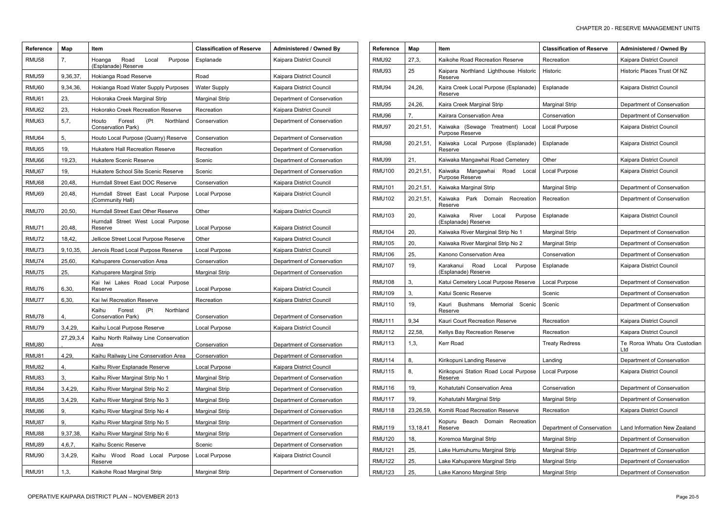| <b>Reference</b> | Map          | Item                                                                 | <b>Classification of Reserve</b>      | <b>Administered / Owned By</b>                           | <b>Reference</b> | Map       | Item                                                | <b>Classification of Reserve</b> | <b>Administered / Owned By</b>      |
|------------------|--------------|----------------------------------------------------------------------|---------------------------------------|----------------------------------------------------------|------------------|-----------|-----------------------------------------------------|----------------------------------|-------------------------------------|
| RMU58            |              | Road<br>Local<br>Purpose<br>Hoanga                                   | Esplanade                             | <b>Kaipara District Council</b>                          | RMU92            | 27,3,     | Kaikohe Road Recreation Reserve                     | Recreation                       | Kaipara District Council            |
| RMU59            | 9,36,37,     | (Esplanade) Reserve<br>Hokianga Road Reserve                         | Road                                  | Kaipara District Council                                 | RMU93            | 25        | Kaipara Northland Lighthouse Historic<br>Reserve    | Historic                         | Historic Places Trust Of NZ         |
| RMU60            | 9,34,36,     | Hokianga Road Water Supply Purposes                                  | <b>Water Supply</b>                   | Kaipara District Council                                 | RMU94            | 24,26,    | Kaira Creek Local Purpose (Esplanade)<br>Reserve    | Esplanade                        | Kaipara District Council            |
| RMU61            | 23,          | Hokoraka Creek Marginal Strip                                        | <b>Marginal Strip</b>                 | Department of Conservation                               | RMU95            | 24,26     | Kaira Creek Marginal Strip                          | Marginal Strip                   | Department of Conservation          |
| RMU62            | 23,          | Hokorako Creek Recreation Reserve                                    | Recreation                            | Kaipara District Council                                 | RMU96            |           | Kairara Conservation Area                           | Conservation                     | Department of Conservation          |
| RMU63            | 5,7,         | (Pt<br>Forest<br>Northland<br>Houto<br>Conservation Park)            | Conservation                          | Department of Conservation                               | RMU97            | 20,21,51, | Kaiwaka (Sewage Treatment) Local                    | Local Purpose                    | Kaipara District Council            |
| RMU64            | 5,           | Houto Local Purpose (Quarry) Reserve                                 | Conservation                          | Department of Conservation                               |                  |           | Purpose Reserve                                     |                                  |                                     |
| RMU65            | 19,          | Hukatere Hall Recreation Reserve                                     | Recreation                            | Department of Conservation                               | RMU98            | 20,21,51, | Kaiwaka Local Purpose (Esplanade)<br>Reserve        | Esplanade                        | Kaipara District Council            |
| RMU66            | 19,23        | <b>Hukatere Scenic Reserve</b>                                       | Scenic                                | Department of Conservation                               | RMU99            | 21,       | Kaiwaka Mangawhai Road Cemetery                     | Other                            | Kaipara District Council            |
| RMU67            | 19,          | Hukatere School Site Scenic Reserve                                  | Scenic                                | Department of Conservation                               | <b>RMU100</b>    | 20,21,51, | Kaiwaka Mangawhai Road Local<br>Purpose Reserve     | Local Purpose                    | Kaipara District Council            |
| RMU68            | 20,48,       | Hurndall Street East DOC Reserve                                     | Conservation                          | Kaipara District Council                                 | <b>RMU101</b>    | 20,21,51  | Kaiwaka Marginal Strip                              | Marginal Strip                   | Department of Conservation          |
| RMU69            | 20,48,       | Hurndall Street East Local Purpose<br>(Community Hall)               | Local Purpose                         | Kaipara District Council                                 | <b>RMU102</b>    | 20,21,51, | Kaiwaka Park Domain Recreation                      | Recreation                       | Department of Conservation          |
| RMU70            | 20,50,       | Hurndall Street East Other Reserve                                   | Other                                 | Kaipara District Council                                 | <b>RMU103</b>    | 20,       | Reserve<br>River<br>Local<br>Purpose<br>Kaiwaka     | Esplanade                        | Kaipara District Council            |
|                  |              | Hurndall Street West Local Purpose                                   |                                       |                                                          |                  |           | (Esplanade) Reserve                                 |                                  |                                     |
| RMU71            | 20,48,       | Reserve                                                              | Local Purpose                         | Kaipara District Council                                 | <b>RMU104</b>    | 20,       | Kaiwaka River Marginal Strip No 1                   | Marginal Strip                   | Department of Conservation          |
| RMU72            | 18,42,       | Jellicoe Street Local Purpose Reserve                                | Other                                 | Kaipara District Council                                 | <b>RMU105</b>    | 20,       | Kaiwaka River Marginal Strip No 2                   | <b>Marginal Strip</b>            | Department of Conservation          |
| RMU73            | 9,10,35,     | Jervois Road Local Purpose Reserve                                   | Local Purpose                         | Kaipara District Council                                 | <b>RMU106</b>    | 25,       | Kanono Conservation Area                            | Conservation                     | Department of Conservation          |
| RMU74<br>RMU75   | 25,60<br>25, | Kahuparere Conservation Area<br>Kahuparere Marginal Strip            | Conservation<br><b>Marginal Strip</b> | Department of Conservation<br>Department of Conservation | <b>RMU107</b>    | 19,       | Karakanui Road Local Purpose<br>(Esplanade) Reserve | Esplanade                        | Kaipara District Council            |
|                  |              | Kai Iwi Lakes Road Local Purpose                                     |                                       |                                                          | <b>RMU108</b>    | 3.        | Katui Cemetery Local Purpose Reserve                | Local Purpose                    | Department of Conservation          |
| RMU76            | 6,30,        | Reserve                                                              | Local Purpose                         | Kaipara District Council                                 | <b>RMU109</b>    | 3.        | Katui Scenic Reserve                                | Scenic                           | Department of Conservation          |
| RMU77            | 6,30,        | Kai Iwi Recreation Reserve                                           | Recreation                            | Kaipara District Council                                 | <b>RMU110</b>    | 19,       | Bushmans Memorial<br>Scenic<br>Kauri                | Scenic                           | Department of Conservation          |
|                  |              | Kaihu<br>(Pt<br>Forest<br>Northland                                  | Conservation                          | Department of Conservation                               |                  |           | Reserve                                             |                                  |                                     |
| RMU78            | 4,           | Conservation Park)                                                   |                                       |                                                          | <b>RMU111</b>    | 9,34      | Kauri Court Recreation Reserve                      | Recreation                       | Kaipara District Council            |
| RMU79            | 3,4,29       | Kaihu Local Purpose Reserve<br>Kaihu North Railway Line Conservation | Local Purpose                         | Kaipara District Council                                 | <b>RMU112</b>    | 22,58,    | Kellys Bay Recreation Reserve                       | Recreation                       | Kaipara District Council            |
| RMU80            | 27,29,3,4    | Area                                                                 | Conservation                          | Department of Conservation                               | <b>RMU113</b>    | 1,3,      | Kerr Road                                           | <b>Treaty Redress</b>            | Te Roroa Whatu Ora Custodian<br>Ltd |
| RMU81            | 4,29,        | Kaihu Railway Line Conservation Area                                 | Conservation                          | Department of Conservation                               | <b>RMU114</b>    | 8.        | Kirikopuni Landing Reserve                          | Landing                          | Department of Conservation          |
| RMU82            |              | Kaihu River Esplanade Reserve                                        | Local Purpose                         | Kaipara District Council                                 | <b>RMU115</b>    | 8.        | Kirikopuni Station Road Local Purpose               | Local Purpose                    | Kaipara District Council            |
| RMU83            | 3.           | Kaihu River Marginal Strip No 1                                      | <b>Marginal Strip</b>                 | Department of Conservation                               |                  |           | Reserve                                             |                                  |                                     |
| RMU84            | 3,4,29       | Kaihu River Marginal Strip No 2                                      | <b>Marginal Strip</b>                 | Department of Conservation                               | <b>RMU116</b>    | 19,       | Kohatutahi Conservation Area                        | Conservation                     | Department of Conservation          |
| RMU85            | 3,4,29       | Kaihu River Marginal Strip No 3                                      | <b>Marginal Strip</b>                 | Department of Conservation                               | <b>RMU117</b>    | 19,       | Kohatutahi Marginal Strip                           | Marginal Strip                   | Department of Conservation          |
| RMU86            | 9,           | Kaihu River Marginal Strip No 4                                      | <b>Marginal Strip</b>                 | Department of Conservation                               | <b>RMU118</b>    | 23,26,59, | Komiti Road Recreation Reserve                      | Recreation                       | Kaipara District Council            |
| RMU87            | 9,           | Kaihu River Marginal Strip No 5                                      | <b>Marginal Strip</b>                 | Department of Conservation                               | <b>RMU119</b>    | 13,18,41  | Kopuru Beach Domain Recreation<br>Reserve           | Department of Conservation       | Land Information New Zealand        |
| RMU88            | 9,37,38,     | Kaihu River Marginal Strip No 6                                      | <b>Marginal Strip</b>                 | Department of Conservation                               | <b>RMU120</b>    | 18,       | Koremoa Marginal Strip                              | Marginal Strip                   | Department of Conservation          |
| RMU89            | 4,6,7,       | Kaihu Scenic Reserve                                                 | Scenic                                | Department of Conservation                               | <b>RMU121</b>    | 25,       | Lake Humuhumu Marginal Strip                        | Marginal Strip                   | Department of Conservation          |
| RMU90            | 3,4,29,      | Kaihu Wood Road Local Purpose<br>Reserve                             | Local Purpose                         | Kaipara District Council                                 | <b>RMU122</b>    | 25,       | Lake Kahuparere Marginal Strip                      | <b>Marginal Strip</b>            | Department of Conservation          |
| RMU91            | 1,3,         | Kaikohe Road Marginal Strip                                          | <b>Marginal Strip</b>                 | Department of Conservation                               | <b>RMU123</b>    | 25,       | Lake Kanono Marginal Strip                          | <b>Marginal Strip</b>            | Department of Conservation          |
|                  |              |                                                                      |                                       |                                                          |                  |           |                                                     |                                  |                                     |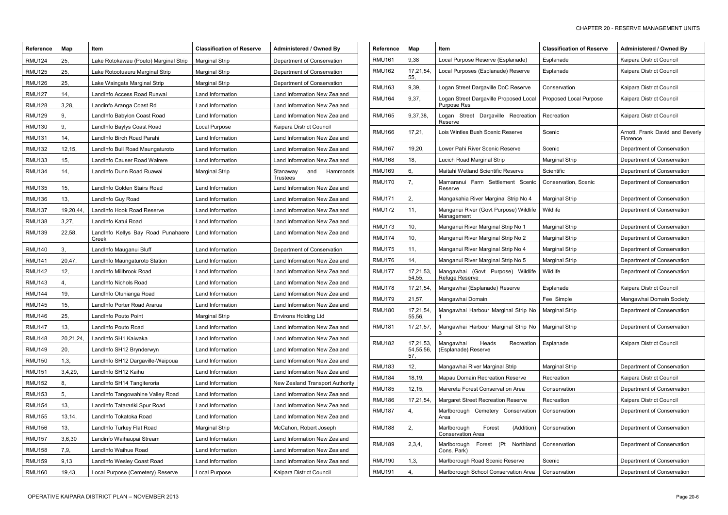| <b>Reference</b> | Map       | Item                                        | <b>Classification of Reserve</b> | Administered / Owned By                        |
|------------------|-----------|---------------------------------------------|----------------------------------|------------------------------------------------|
| <b>RMU124</b>    | 25.       | Lake Rotokawau (Pouto) Marginal Strip       | <b>Marginal Strip</b>            | Department of Conservation                     |
| <b>RMU125</b>    | 25,       | Lake Rotootuauru Marginal Strip             | <b>Marginal Strip</b>            | Department of Conservation                     |
| <b>RMU126</b>    | 25,       | Lake Waingata Marginal Strip                | <b>Marginal Strip</b>            | Department of Conservation                     |
| <b>RMU127</b>    | 14,       | LandInfo Access Road Ruawai                 | Land Information                 | Land Information New Zealand                   |
| <b>RMU128</b>    | 3,28,     | Landinfo Aranga Coast Rd                    | Land Information                 | Land Information New Zealand                   |
| <b>RMU129</b>    | 9,        | LandInfo Babylon Coast Road                 | Land Information                 | Land Information New Zealand                   |
| <b>RMU130</b>    | 9,        | LandInfo Baylys Coast Road                  | Local Purpose                    | Kaipara District Council                       |
| <b>RMU131</b>    | 14,       | LandInfo Birch Road Parahi                  | Land Information                 | Land Information New Zealand                   |
| <b>RMU132</b>    | 12, 15,   | LandInfo Bull Road Maungaturoto             | Land Information                 | Land Information New Zealand                   |
| <b>RMU133</b>    | 15,       | LandInfo Causer Road Wairere                | Land Information                 | Land Information New Zealand                   |
| <b>RMU134</b>    | 14,       | LandInfo Dunn Road Ruawai                   | <b>Marginal Strip</b>            | Stanaway<br>Hammonds<br>and<br><b>Trustees</b> |
| <b>RMU135</b>    | 15,       | LandInfo Golden Stairs Road                 | Land Information                 | Land Information New Zealand                   |
| <b>RMU136</b>    | 13,       | LandInfo Guy Road                           | Land Information                 | Land Information New Zealand                   |
| <b>RMU137</b>    | 19,20,44, | LandInfo Hook Road Reserve                  | Land Information                 | Land Information New Zealand                   |
| <b>RMU138</b>    | 3,27,     | LandInfo Katui Road                         | Land Information                 | Land Information New Zealand                   |
| <b>RMU139</b>    | 22,58,    | LandInfo Kellys Bay Road Punahaere<br>Creek | Land Information                 | Land Information New Zealand                   |
| <b>RMU140</b>    | 3,        | LandInfo Mauganui Bluff                     | Land Information                 | Department of Conservation                     |
| <b>RMU141</b>    | 20,47,    | LandInfo Maungaturoto Station               | Land Information                 | Land Information New Zealand                   |
| <b>RMU142</b>    | 12,       | LandInfo Millbrook Road                     | Land Information                 | Land Information New Zealand                   |
| <b>RMU143</b>    | 4,        | LandInfo Nichols Road                       | Land Information                 | Land Information New Zealand                   |
| <b>RMU144</b>    | 19,       | LandInfo Otuhianga Road                     | Land Information                 | Land Information New Zealand                   |
| <b>RMU145</b>    | 15,       | LandInfo Porter Road Ararua                 | Land Information                 | Land Information New Zealand                   |
| <b>RMU146</b>    | 25,       | LandInfo Pouto Point                        | Marginal Strip                   | Environs Holding Ltd                           |
| <b>RMU147</b>    | 13,       | LandInfo Pouto Road                         | Land Information                 | Land Information New Zealand                   |
| <b>RMU148</b>    | 20,21,24, | LandInfo SH1 Kaiwaka                        | Land Information                 | Land Information New Zealand                   |
| <b>RMU149</b>    | 20,       | LandInfo SH12 Brynderwyn                    | Land Information                 | Land Information New Zealand                   |
| <b>RMU150</b>    | 1,3,      | LandInfo SH12 Dargaville-Waipoua            | Land Information                 | Land Information New Zealand                   |
| <b>RMU151</b>    | 3,4,29,   | LandInfo SH12 Kaihu                         | Land Information                 | Land Information New Zealand                   |
| <b>RMU152</b>    | 8,        | LandInfo SH14 Tangiteroria                  | Land Information                 | New Zealand Transport Authority                |
| <b>RMU153</b>    | 5,        | LandInfo Tangowahine Valley Road            | Land Information                 | Land Information New Zealand                   |
| <b>RMU154</b>    | 13,       | LandInfo Tatarariki Spur Road               | Land Information                 | Land Information New Zealand                   |
| <b>RMU155</b>    | 13, 14,   | LandInfo Tokatoka Road                      | Land Information                 | Land Information New Zealand                   |
| <b>RMU156</b>    | 13,       | LandInfo Turkey Flat Road                   | <b>Marginal Strip</b>            | McCahon, Robert Joseph                         |
| <b>RMU157</b>    | 3,6,30    | Landinfo Waihaupai Stream                   | Land Information                 | Land Information New Zealand                   |
| <b>RMU158</b>    | 7,9,      | LandInfo Waihue Road                        | Land Information                 | Land Information New Zealand                   |
| <b>RMU159</b>    | 9,13      | LandInfo Wesley Coast Road                  | Land Information                 | Land Information New Zealand                   |
| <b>RMU160</b>    | 19,43,    | Local Purpose (Cemetery) Reserve            | Local Purpose                    | Kaipara District Council                       |

| Reference     | Map                           | <b>Item</b>                                                     | <b>Classification of Reserve</b> | <b>Administered / Owned By</b>              |
|---------------|-------------------------------|-----------------------------------------------------------------|----------------------------------|---------------------------------------------|
| <b>RMU161</b> | 9,38                          | Local Purpose Reserve (Esplanade)                               | Esplanade                        | Kaipara District Council                    |
| <b>RMU162</b> | 17,21,54,<br>55,              | Local Purposes (Esplanade) Reserve                              | Esplanade                        | Kaipara District Council                    |
| RMU163        | 9,39,                         | Logan Street Dargaville DoC Reserve                             | Conservation                     | Kaipara District Council                    |
| RMU164        | 9,37,                         | Logan Street Dargaville Proposed Local<br>Purpose Res           | Proposed Local Purpose           | Kaipara District Council                    |
| <b>RMU165</b> | 9,37,38,                      | Logan Street Dargaville Recreation<br>Reserve                   | Recreation                       | Kaipara District Council                    |
| RMU166        | 17,21,                        | Lois Wintles Bush Scenic Reserve                                | Scenic                           | Arnott, Frank David and Beverly<br>Florence |
| RMU167        | 19,20,                        | Lower Pahi River Scenic Reserve                                 | Scenic                           | Department of Conservation                  |
| RMU168        | 18,                           | Lucich Road Marginal Strip                                      | <b>Marginal Strip</b>            | Department of Conservation                  |
| RMU169        | 6,                            | Maitahi Wetland Scientific Reserve                              | Scientific                       | Department of Conservation                  |
| <b>RMU170</b> | 7,                            | Mamaranui Farm Settlement Scenic<br>Reserve                     | Conservation, Scenic             | Department of Conservation                  |
| RMU171        | 2,                            | Mangakahia River Marginal Strip No 4                            | <b>Marginal Strip</b>            | Department of Conservation                  |
| RMU172        | 11,                           | Manganui River (Govt Purpose) Wildlife<br>Management            | Wildlife                         | Department of Conservation                  |
| RMU173        | 10,                           | Manganui River Marginal Strip No 1                              | <b>Marginal Strip</b>            | Department of Conservation                  |
| <b>RMU174</b> | 10,                           | Manganui River Marginal Strip No 2                              | <b>Marginal Strip</b>            | Department of Conservation                  |
| RMU175        | 11,                           | Manganui River Marginal Strip No 4                              | <b>Marginal Strip</b>            | Department of Conservation                  |
| RMU176        | 14,                           | Manganui River Marginal Strip No 5                              | <b>Marginal Strip</b>            | Department of Conservation                  |
| RMU177        | 17,21,53,<br>54,55,           | Mangawhai (Govt Purpose) Wildlife<br>Refuge Reserve             | Wildlife                         | Department of Conservation                  |
| RMU178        | 17,21,54,                     | Mangawhai (Esplanade) Reserve                                   | Esplanade                        | Kaipara District Council                    |
| RMU179        | 21,57,                        | Mangawhai Domain                                                | Fee Simple                       | Mangawhai Domain Society                    |
| RMU180        | 17,21,54,<br>55,56,           | Mangawhai Harbour Marginal Strip No<br>1                        | <b>Marginal Strip</b>            | Department of Conservation                  |
| RMU181        | 17,21,57,                     | Mangawhai Harbour Marginal Strip No<br>3                        | <b>Marginal Strip</b>            | Department of Conservation                  |
| <b>RMU182</b> | 17,21,53,<br>54,55,56,<br>57, | Recreation<br>Mangawhai<br>Heads<br>(Esplanade) Reserve         | Esplanade                        | Kaipara District Council                    |
| <b>RMU183</b> | 12,                           | Mangawhai River Marginal Strip                                  | <b>Marginal Strip</b>            | Department of Conservation                  |
| <b>RMU184</b> | 18, 19,                       | Mapau Domain Recreation Reserve                                 | Recreation                       | Kaipara District Council                    |
| <b>RMU185</b> | 12, 15,                       | Mareretu Forest Conservation Area                               | Conservation                     | Department of Conservation                  |
| <b>RMU186</b> | 17,21,54,                     | Margaret Street Recreation Reserve                              | Recreation                       | Kaipara District Council                    |
| <b>RMU187</b> | 4,                            | Marlborough Cemetery Conservation<br>Area                       | Conservation                     | Department of Conservation                  |
| <b>RMU188</b> | 2,                            | Marlborough<br>(Addition)<br>Forest<br><b>Conservation Area</b> | Conservation                     | Department of Conservation                  |
| RMU189        | 2,3,4,                        | Marlborough<br>Northland<br>Forest<br>(Pt<br>Cons. Park)        | Conservation                     | Department of Conservation                  |
| <b>RMU190</b> | 1,3,                          | Marlborough Road Scenic Reserve                                 | Scenic                           | Department of Conservation                  |
| <b>RMU191</b> | 4,                            | Marlborough School Conservation Area                            | Conservation                     | Department of Conservation                  |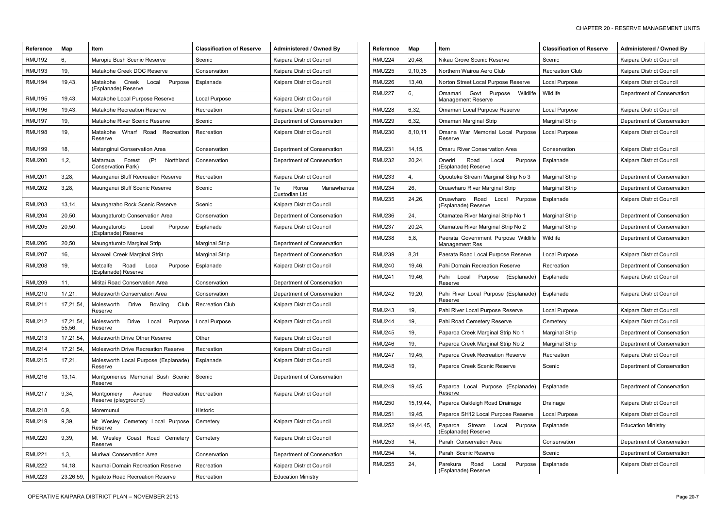| <b>Reference</b> | Map                 | <b>Item</b>                                                   | <b>Classification of Reserve</b> | Administered / Owned By                    |
|------------------|---------------------|---------------------------------------------------------------|----------------------------------|--------------------------------------------|
| <b>RMU192</b>    | 6,                  | Maropiu Bush Scenic Reserve                                   | Scenic                           | Kaipara District Council                   |
| <b>RMU193</b>    | 19,                 | Matakohe Creek DOC Reserve                                    | Conservation                     | Kaipara District Council                   |
| RMU194           | 19,43,              | Matakohe<br>Creek<br>Local<br>Purpose<br>(Esplanade) Reserve  | Esplanade                        | Kaipara District Council                   |
| <b>RMU195</b>    | 19,43,              | Matakohe Local Purpose Reserve                                | Local Purpose                    | Kaipara District Council                   |
| <b>RMU196</b>    | 19,43,              | Matakohe Recreation Reserve                                   | Recreation                       | Kaipara District Council                   |
| <b>RMU197</b>    | 19,                 | Matakohe River Scenic Reserve                                 | Scenic                           | Department of Conservation                 |
| <b>RMU198</b>    | 19,                 | Wharf Road<br>Matakohe<br>Recreation<br>Reserve               | Recreation                       | Kaipara District Council                   |
| <b>RMU199</b>    | 18,                 | Matanginui Conservation Area                                  | Conservation                     | Department of Conservation                 |
| <b>RMU200</b>    | 1,2,                | Northland<br>Forest<br>(Pt)<br>Mataraua<br>Conservation Park) | Conservation                     | Department of Conservation                 |
| <b>RMU201</b>    | 3,28,               | Maunganui Bluff Recreation Reserve                            | Recreation                       | Kaipara District Council                   |
| <b>RMU202</b>    | 3,28,               | Maunganui Bluff Scenic Reserve                                | Scenic                           | Roroa<br>Manawhenua<br>Te<br>Custodian Ltd |
| <b>RMU203</b>    | 13,14,              | Maungaraho Rock Scenic Reserve                                | Scenic                           | Kaipara District Council                   |
| <b>RMU204</b>    | 20,50,              | Maungaturoto Conservation Area                                | Conservation                     | Department of Conservation                 |
| <b>RMU205</b>    | 20,50,              | Maungaturoto<br>Local<br>Purpose<br>(Esplanade) Reserve       | Esplanade                        | Kaipara District Council                   |
| <b>RMU206</b>    | 20,50,              | Maungaturoto Marginal Strip                                   | <b>Marginal Strip</b>            | Department of Conservation                 |
| <b>RMU207</b>    | 16,                 | Maxwell Creek Marginal Strip                                  | <b>Marginal Strip</b>            | Department of Conservation                 |
| <b>RMU208</b>    | 19,                 | Metcalfe<br>Road<br>Purpose<br>Local<br>(Esplanade) Reserve   | Esplanade                        | Kaipara District Council                   |
| <b>RMU209</b>    | 11,                 | Mititai Road Conservation Area                                | Conservation                     | Department of Conservation                 |
| <b>RMU210</b>    | 17,21,              | Molesworth Conservation Area                                  | Conservation                     | Department of Conservation                 |
| <b>RMU211</b>    | 17,21,54,           | Molesworth<br>Club<br>Drive<br><b>Bowling</b><br>Reserve      | <b>Recreation Club</b>           | Kaipara District Council                   |
| <b>RMU212</b>    | 17,21,54,<br>55,56, | Molesworth<br>Purpose<br>Drive<br>Local<br>Reserve            | Local Purpose                    | Kaipara District Council                   |
| <b>RMU213</b>    | 17,21,54,           | Molesworth Drive Other Reserve                                | Other                            | Kaipara District Council                   |
| <b>RMU214</b>    | 17,21,54,           | Molesworth Drive Recreation Reserve                           | Recreation                       | Kaipara District Council                   |
| <b>RMU215</b>    | 17,21,              | Molesworth Local Purpose (Esplanade)<br>Reserve               | Esplanade                        | Kaipara District Council                   |
| <b>RMU216</b>    | 13,14,              | Montgomeries Memorial Bush Scenic<br>Reserve                  | Scenic                           | Department of Conservation                 |
| <b>RMU217</b>    | 9,34,               | Montgomery<br>Avenue<br>Recreation<br>Reserve (playground)    | Recreation                       | Kaipara District Council                   |
| <b>RMU218</b>    | 6,9,                | Moremunui                                                     | Historic                         |                                            |
| <b>RMU219</b>    | 9,39,               | Mt Wesley Cemetery Local Purpose<br>Reserve                   | Cemetery                         | Kaipara District Council                   |
| <b>RMU220</b>    | 9,39,               | Mt Wesley Coast Road Cemetery<br>Reserve                      | Cemetery                         | Kaipara District Council                   |
| <b>RMU221</b>    | 1,3,                | Muriwai Conservation Area                                     | Conservation                     | Department of Conservation                 |
| <b>RMU222</b>    | 14,18,              | Naumai Domain Recreation Reserve                              | Recreation                       | Kaipara District Council                   |
| <b>RMU223</b>    | 23,26,59,           | Ngatoto Road Recreation Reserve                               | Recreation                       | <b>Education Ministry</b>                  |

| Reference     | Map         | <b>Item</b>                                                  | <b>Classification of Reserve</b> | <b>Administered / Owned By</b> |
|---------------|-------------|--------------------------------------------------------------|----------------------------------|--------------------------------|
| RMU224        | 20,48,      | Nikau Grove Scenic Reserve                                   | Scenic                           | Kaipara District Council       |
| RMU225        | 9,10,35     | Northern Wairoa Aero Club                                    | <b>Recreation Club</b>           | Kaipara District Council       |
| RMU226        | 13,40,      | Norton Street Local Purpose Reserve                          | Local Purpose                    | Kaipara District Council       |
| RMU227        | 6,          | Wildlife<br>Govt<br>Purpose<br>Omamari<br>Management Reserve | Wildlife                         | Department of Conservation     |
| RMU228        | 6,32,       | Omamari Local Purpose Reserve                                | Local Purpose                    | Kaipara District Council       |
| <b>RMU229</b> | 6,32,       | Omamari Marginal Strip                                       | <b>Marginal Strip</b>            | Department of Conservation     |
| RMU230        | 8,10,11     | Omana War Memorial Local Purpose<br>Reserve                  | Local Purpose                    | Kaipara District Council       |
| <b>RMU231</b> | 14,15,      | Omaru River Conservation Area                                | Conservation                     | Kaipara District Council       |
| <b>RMU232</b> | 20,24,      | Oneriri<br>Road<br>Purpose<br>Local<br>(Esplanade) Reserve   | Esplanade                        | Kaipara District Council       |
| <b>RMU233</b> | 4,          | Opouteke Stream Marginal Strip No 3                          | Marginal Strip                   | Department of Conservation     |
| RMU234        | 26,         | Oruawharo River Marginal Strip                               | <b>Marginal Strip</b>            | Department of Conservation     |
| RMU235        | 24,26,      | Oruawharo<br>Road<br>Purpose<br>Local<br>(Esplanade) Reserve | Esplanade                        | Kaipara District Council       |
| <b>RMU236</b> | 24,         | Otamatea River Marginal Strip No 1                           | <b>Marginal Strip</b>            | Department of Conservation     |
| RMU237        | 20,24,      | Otamatea River Marginal Strip No 2                           | <b>Marginal Strip</b>            | Department of Conservation     |
| RMU238        | 5,8,        | Paerata Government Purpose Wildlife<br>Management Res        | Wildlife                         | Department of Conservation     |
| RMU239        | 8,31        | Paerata Road Local Purpose Reserve                           | Local Purpose                    | Kaipara District Council       |
| <b>RMU240</b> | 19,46,      | Pahi Domain Recreation Reserve                               | Recreation                       | Department of Conservation     |
| RMU241        | 19,46,      | Pahi<br>Local<br>(Esplanade)<br>Purpose<br>Reserve           | Esplanade                        | Kaipara District Council       |
| <b>RMU242</b> | 19,20,      | Pahi River Local Purpose (Esplanade)<br>Reserve              | Esplanade                        | Kaipara District Council       |
| <b>RMU243</b> | 19,         | Pahi River Local Purpose Reserve                             | Local Purpose                    | Kaipara District Council       |
| <b>RMU244</b> | 19,         | Pahi Road Cemetery Reserve                                   | Cemetery                         | Kaipara District Council       |
| <b>RMU245</b> | 19,         | Paparoa Creek Marginal Strip No 1                            | <b>Marginal Strip</b>            | Department of Conservation     |
| <b>RMU246</b> | 19,         | Paparoa Creek Marginal Strip No 2                            | <b>Marginal Strip</b>            | Department of Conservation     |
| RMU247        | 19,45,      | Paparoa Creek Recreation Reserve                             | Recreation                       | Kaipara District Council       |
| <b>RMU248</b> | 19,         | Paparoa Creek Scenic Reserve                                 | Scenic                           | Department of Conservation     |
| <b>RMU249</b> | 19,45,      | Paparoa Local Purpose (Esplanade)<br>Reserve                 | Esplanade                        | Department of Conservation     |
| <b>RMU250</b> | 15, 19, 44, | Paparoa Oakleigh Road Drainage                               | Drainage                         | Kaipara District Council       |
| <b>RMU251</b> | 19,45,      | Paparoa SH12 Local Purpose Reserve                           | Local Purpose                    | Kaipara District Council       |
| <b>RMU252</b> | 19,44,45,   | Stream<br>Paparoa<br>Local<br>Purpose<br>(Esplanade) Reserve | Esplanade                        | <b>Education Ministry</b>      |
| RMU253        | 14,         | Parahi Conservation Area                                     | Conservation                     | Department of Conservation     |
| <b>RMU254</b> | 14,         | Parahi Scenic Reserve                                        | Scenic                           | Department of Conservation     |
| <b>RMU255</b> | 24,         | Parekura<br>Road<br>Local<br>Purpose<br>(Esplanade) Reserve  | Esplanade                        | Kaipara District Council       |

 $\mathbf{I}$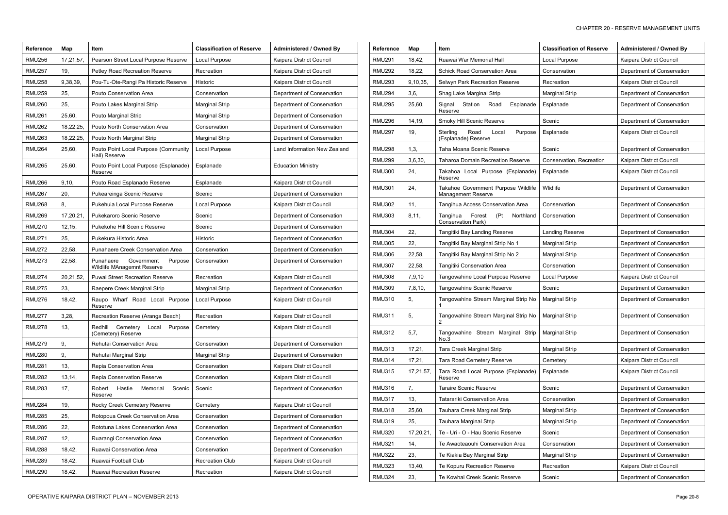| <b>Reference</b> | Map       | Item                                                                 | <b>Classification of Reserve</b> | <b>Administered / Owned By</b> | Reference     | Map            | ltem                                                      | <b>Classification of Reserve</b> | <b>Administered / Owned By</b> |
|------------------|-----------|----------------------------------------------------------------------|----------------------------------|--------------------------------|---------------|----------------|-----------------------------------------------------------|----------------------------------|--------------------------------|
| <b>RMU256</b>    | 17,21,57  | Pearson Street Local Purpose Reserve                                 | Local Purpose                    | Kaipara District Council       | <b>RMU291</b> | 18,42,         | Ruawai War Memorial Hall                                  | Local Purpose                    | Kaipara District Council       |
| <b>RMU257</b>    | 19,       | Petley Road Recreation Reserve                                       | Recreation                       | Kaipara District Council       | <b>RMU292</b> | 18,22,         | <b>Schick Road Conservation Area</b>                      | Conservation                     | Department of Conservation     |
| <b>RMU258</b>    | 9,38,39,  | Pou-Tu-Ote-Rangi Pa Historic Reserve                                 | Historic                         | Kaipara District Council       | <b>RMU293</b> | 9,10,35,       | Selwyn Park Recreation Reserve                            | Recreation                       | Kaipara District Council       |
| <b>RMU259</b>    | 25,       | Pouto Conservation Area                                              | Conservation                     | Department of Conservation     | <b>RMU294</b> | 3,6,           | Shag Lake Marginal Strip                                  | <b>Marginal Strip</b>            | Department of Conservation     |
| <b>RMU260</b>    | 25,       | Pouto Lakes Marginal Strip                                           | <b>Marginal Strip</b>            | Department of Conservation     | <b>RMU295</b> | 25,60,         | Signal Station Road Esplanade                             | Esplanade                        | Department of Conservation     |
| <b>RMU261</b>    | 25,60,    | Pouto Marginal Strip                                                 | <b>Marginal Strip</b>            | Department of Conservation     | <b>RMU296</b> | 14,19,         | Reserve<br>Smoky Hill Scenic Reserve                      | Scenic                           | Department of Conservation     |
| <b>RMU262</b>    | 18,22,25, | Pouto North Conservation Area                                        | Conservation                     | Department of Conservation     | <b>RMU297</b> | 19,            | Sterling<br>Road<br>Local                                 | Purpose   Esplanade              | Kaipara District Council       |
| <b>RMU263</b>    | 18,22,25, | Pouto North Marginal Strip                                           | <b>Marginal Strip</b>            | Department of Conservation     |               |                | (Esplanade) Reserve                                       |                                  |                                |
| <b>RMU264</b>    | 25,60,    | Pouto Point Local Purpose (Community<br>Hall) Reserve                | Local Purpose                    | Land Information New Zealand   | <b>RMU298</b> | 1,3,           | Taha Moana Scenic Reserve                                 | Scenic                           | Department of Conservation     |
| <b>RMU265</b>    | 25,60,    | Pouto Point Local Purpose (Esplanade)                                | Esplanade                        | <b>Education Ministry</b>      | <b>RMU299</b> | 3,6,30,        | <b>Taharoa Domain Recreation Reserve</b>                  | Conservation, Recreation         | Kaipara District Council       |
|                  |           | Reserve                                                              |                                  |                                | <b>RMU300</b> | 24,            | Takahoa Local Purpose (Esplanade)<br>Reserve              | Esplanade                        | Kaipara District Council       |
| <b>RMU266</b>    | 9,10,     | Pouto Road Esplanade Reserve                                         | Esplanade                        | Kaipara District Council       | <b>RMU301</b> | 24,            | Takahoe Government Purpose Wildlife                       | Wlidlife                         | Department of Conservation     |
| <b>RMU267</b>    | 20,       | Pukeareinga Scenic Reserve                                           | Scenic                           | Department of Conservation     |               |                | Management Reserve                                        |                                  |                                |
| <b>RMU268</b>    | 8.        | Pukehuia Local Purpose Reserve                                       | Local Purpose                    | Kaipara District Council       | <b>RMU302</b> | 11,            | Tangihua Access Conservation Area                         | Conservation                     | Department of Conservation     |
| <b>RMU269</b>    | 17,20,21  | Pukekaroro Scenic Reserve                                            | Scenic                           | Department of Conservation     | <b>RMU303</b> | 8,11,          | (Pt Northland<br>Forest<br>Tangihua<br>Conservation Park) | Conservation                     | Department of Conservation     |
| <b>RMU270</b>    | 12,15,    | Pukekohe Hill Scenic Reserve                                         | Scenic                           | Department of Conservation     | <b>RMU304</b> | 22,            | Tangitiki Bay Landing Reserve                             | Landing Reserve                  | Department of Conservation     |
| <b>RMU271</b>    | 25,       | Pukekura Historic Area                                               | Historic                         | Department of Conservation     | <b>RMU305</b> | 22,            | Tangitiki Bay Marginal Strip No 1                         | <b>Marginal Strip</b>            | Department of Conservation     |
| <b>RMU272</b>    | 22,58,    | Punahaere Creek Conservation Area                                    | Conservation                     | Department of Conservation     | <b>RMU306</b> | 22,58,         | Tangitiki Bay Marginal Strip No 2                         | <b>Marginal Strip</b>            | Department of Conservation     |
| <b>RMU273</b>    | 22,58,    | Government<br>Punahaere<br>Purpose                                   | Conservation                     | Department of Conservation     | <b>RMU307</b> | 22,58,         | Tangitiki Conservation Area                               | Conservation                     | Department of Conservation     |
| <b>RMU274</b>    | 20,21,52, | Wildlife MAnagemnt Reserve<br><b>Puwai Street Recreation Reserve</b> | Recreation                       | Kaipara District Council       | <b>RMU308</b> | 7,9,10         | Tangowahine Local Purpose Reserve                         | Local Purpose                    | Kaipara District Council       |
| <b>RMU275</b>    | 23,       | Raepere Creek Marginal Strip                                         | <b>Marginal Strip</b>            | Department of Conservation     | <b>RMU309</b> | 7,8,10,        | Tangowahine Scenic Reserve                                | Scenic                           | Department of Conservation     |
| <b>RMU276</b>    | 18,42,    | Raupo Wharf Road Local Purpose                                       | <b>Local Purpose</b>             | Kaipara District Council       | <b>RMU310</b> | 5,             | Tangowahine Stream Marginal Strip No                      | <b>Marginal Strip</b>            | Department of Conservation     |
|                  |           | Reserve                                                              |                                  |                                |               |                |                                                           |                                  |                                |
| <b>RMU277</b>    | 3,28,     | Recreation Reserve (Aranga Beach)                                    | Recreation                       | Kaipara District Council       | <b>RMU311</b> | 5 <sub>1</sub> | Tangowahine Stream Marginal Strip No   Marginal Strip     |                                  | Department of Conservation     |
| <b>RMU278</b>    | 13,       | Redhill<br>Cemetery Local Purpose<br>(Cemetery) Reserve              | Cemetery                         | Kaipara District Council       | <b>RMU312</b> | 5,7,           | Tangowahine Stream Marginal Strip<br>No.3                 | <b>Marginal Strip</b>            | Department of Conservation     |
| <b>RMU279</b>    | 9.        | Rehutai Conservation Area                                            | Conservation                     | Department of Conservation     | <b>RMU313</b> | 17,21,         | <b>Tara Creek Marginal Strip</b>                          | <b>Marginal Strip</b>            | Department of Conservation     |
| <b>RMU280</b>    | 9.        | Rehutai Marginal Strip                                               | <b>Marginal Strip</b>            | Department of Conservation     | <b>RMU314</b> | 17,21,         | Tara Road Cemetery Reserve                                | Cemetery                         | Kaipara District Council       |
| <b>RMU281</b>    | 13,       | Repia Conservation Area                                              | Conservation                     | Kaipara District Council       | <b>RMU315</b> | 17,21,57,      | Tara Road Local Purpose (Esplanade)                       | Esplanade                        | Kaipara District Council       |
| <b>RMU282</b>    | 13,14,    | Repia Conservation Reserve                                           | Conservation                     | Kaipara District Council       |               |                | Reserve                                                   |                                  |                                |
| <b>RMU283</b>    | 17,       | Hastie<br>Memorial<br>Scenic<br>Robert<br>Reserve                    | Scenic                           | Department of Conservation     | <b>RMU316</b> |                | Taraire Scenic Reserve                                    | Scenic                           | Department of Conservation     |
| <b>RMU284</b>    | 19,       | Rocky Creek Cemetery Reserve                                         | Cemetery                         | Kaipara District Council       | <b>RMU317</b> | 13,            | Tatarariki Conservation Area                              | Conservation                     | Department of Conservation     |
| <b>RMU285</b>    | 25,       | Rotopoua Creek Conservation Area                                     | Conservation                     | Department of Conservation     | <b>RMU318</b> | 25,60,         | Tauhara Creek Marginal Strip                              | <b>Marginal Strip</b>            | Department of Conservation     |
| <b>RMU286</b>    | 22,       | Rototuna Lakes Conservation Area                                     | Conservation                     | Department of Conservation     | <b>RMU319</b> | 25,            | <b>Tauhara Marginal Strip</b>                             | <b>Marginal Strip</b>            | Department of Conservation     |
| <b>RMU287</b>    | 12,       | Ruarangi Conservation Area                                           | Conservation                     | Department of Conservation     | <b>RMU320</b> | 17,20,21,      | Te - Uri - O - Hau Scenic Reserve                         | Scenic                           | Department of Conservation     |
| <b>RMU288</b>    | 18,42,    | Ruawai Conservation Area                                             | Conservation                     | Department of Conservation     | <b>RMU321</b> | 14,            | Te Awaoteaouhi Conservation Area                          | Conservation                     | Department of Conservation     |
| <b>RMU289</b>    | 18,42,    | Ruawai Football Club                                                 | <b>Recreation Club</b>           | Kaipara District Council       | <b>RMU322</b> | 23,            | Te Kiakia Bay Marginal Strip                              | <b>Marginal Strip</b>            | Department of Conservation     |
|                  |           |                                                                      |                                  |                                | <b>RMU323</b> | 13,40,         | Te Kopuru Recreation Reserve                              | Recreation                       | Kaipara District Council       |
| <b>RMU290</b>    | 18,42,    | Ruawai Recreation Reserve                                            | Recreation                       | Kaipara District Council       | <b>RMU324</b> | 23,            | Te Kowhai Creek Scenic Reserve                            | Scenic                           | Department of Conservation     |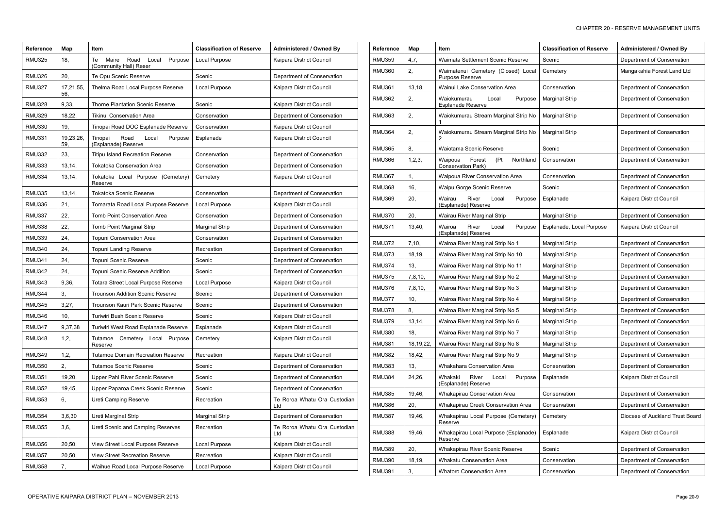| <b>Reference</b> | Map              | Item                                                              | <b>Classification of Reserve</b> | Administered / Owned By             |
|------------------|------------------|-------------------------------------------------------------------|----------------------------------|-------------------------------------|
| <b>RMU325</b>    | 18,              | Purpose<br>Maire<br>Road<br>Local<br>Тe<br>(Community Hall) Reser | Local Purpose                    | Kaipara District Council            |
| <b>RMU326</b>    | 20,              | Te Opu Scenic Reserve                                             | Scenic                           | Department of Conservation          |
| <b>RMU327</b>    | 17,21,55,<br>56, | Thelma Road Local Purpose Reserve                                 | Local Purpose                    | Kaipara District Council            |
| <b>RMU328</b>    | 9,33,            | <b>Thorne Plantation Scenic Reserve</b>                           | Scenic                           | Kaipara District Council            |
| <b>RMU329</b>    | 18,22,           | <b>Tikinui Conservation Area</b>                                  | Conservation                     | Department of Conservation          |
| <b>RMU330</b>    | 19,              | Tinopai Road DOC Esplanade Reserve                                | Conservation                     | Kaipara District Council            |
| <b>RMU331</b>    | 19,23,26,<br>59, | Road<br>Tinopai<br>Local<br>Purpose<br>(Esplanade) Reserve        | Esplanade                        | Kaipara District Council            |
| <b>RMU332</b>    | 23,              | <b>Titipu Island Recreation Reserve</b>                           | Conservation                     | Department of Conservation          |
| <b>RMU333</b>    | 13,14,           | <b>Tokatoka Conservation Area</b>                                 | Conservation                     | Department of Conservation          |
| <b>RMU334</b>    | 13, 14,          | Tokatoka Local Purpose (Cemetery)<br>Reserve                      | Cemetery                         | Kaipara District Council            |
| <b>RMU335</b>    | 13,14,           | <b>Tokatoka Scenic Reserve</b>                                    | Conservation                     | Department of Conservation          |
| <b>RMU336</b>    | 21,              | Tomarata Road Local Purpose Reserve                               | Local Purpose                    | Kaipara District Council            |
| <b>RMU337</b>    | 22,              | Tomb Point Conservation Area                                      | Conservation                     | Department of Conservation          |
| <b>RMU338</b>    | 22,              | Tomb Point Marginal Strip                                         | <b>Marginal Strip</b>            | Department of Conservation          |
| <b>RMU339</b>    | 24,              | Topuni Conservation Area                                          | Conservation                     | Department of Conservation          |
| <b>RMU340</b>    | 24,              | Topuni Landing Reserve                                            | Recreation                       | Department of Conservation          |
| <b>RMU341</b>    | 24,              | Topuni Scenic Reserve                                             | Scenic                           | Department of Conservation          |
| <b>RMU342</b>    | 24,              | Topuni Scenic Reserve Addition                                    | Scenic                           | Department of Conservation          |
| <b>RMU343</b>    | 9,36,            | Totara Street Local Purpose Reserve                               | Local Purpose                    | Kaipara District Council            |
| <b>RMU344</b>    | 3,               | Trounson Addition Scenic Reserve                                  | Scenic                           | Department of Conservation          |
| <b>RMU345</b>    | 3,27,            | Trounson Kauri Park Scenic Reserve                                | Scenic                           | Department of Conservation          |
| <b>RMU346</b>    | 10,              | Turiwiri Bush Scenic Reserve                                      | Scenic                           | Kaipara District Council            |
| <b>RMU347</b>    | 9,37,38          | Turiwiri West Road Esplanade Reserve                              | Esplanade                        | Kaipara District Council            |
| <b>RMU348</b>    | 1,2,             | Cemetery Local Purpose<br>Tutamoe<br>Reserve                      | Cemetery                         | Kaipara District Council            |
| <b>RMU349</b>    | 1,2,             | <b>Tutamoe Domain Recreation Reserve</b>                          | Recreation                       | Kaipara District Council            |
| <b>RMU350</b>    | 2,               | <b>Tutamoe Scenic Reserve</b>                                     | Scenic                           | Department of Conservation          |
| <b>RMU351</b>    | 19,20,           | Upper Pahi River Scenic Reserve                                   | Scenic                           | Department of Conservation          |
| <b>RMU352</b>    | 19,45,           | Upper Paparoa Creek Scenic Reserve                                | Scenic                           | Department of Conservation          |
| <b>RMU353</b>    | 6,               | Ureti Camping Reserve                                             | Recreation                       | Te Roroa Whatu Ora Custodian<br>Ltd |
| <b>RMU354</b>    | 3,6,30           | Ureti Marginal Strip                                              | <b>Marginal Strip</b>            | Department of Conservation          |
| <b>RMU355</b>    | 3,6,             | Ureti Scenic and Camping Reserves                                 | Recreation                       | Te Roroa Whatu Ora Custodian<br>Ltd |
| <b>RMU356</b>    | 20,50,           | View Street Local Purpose Reserve                                 | Local Purpose                    | Kaipara District Council            |
| <b>RMU357</b>    | 20,50,           | View Street Recreation Reserve                                    | Recreation                       | Kaipara District Council            |
| <b>RMU358</b>    | 7,               | Waihue Road Local Purpose Reserve                                 | Local Purpose                    | Kaipara District Council            |

| Reference     | Map         | Item                                                               | <b>Classification of Reserve</b> | <b>Administered / Owned By</b>  |
|---------------|-------------|--------------------------------------------------------------------|----------------------------------|---------------------------------|
| <b>RMU359</b> | 4,7,        | Waimata Settlement Scenic Reserve                                  | Scenic                           | Department of Conservation      |
| RMU360        | 2,          | Waimatenui Cemetery (Closed) Local<br>Purpose Reserve              | Cemetery                         | Mangakahia Forest Land Ltd      |
| RMU361        | 13,18,      | Wainui Lake Conservation Area                                      | Conservation                     | Department of Conservation      |
| RMU362        | 2,          | Waiokumurau<br>Local<br>Purpose<br>Esplanade Reserve               | <b>Marginal Strip</b>            | Department of Conservation      |
| <b>RMU363</b> | 2,          | Waiokumurau Stream Marginal Strip No<br>1                          | <b>Marginal Strip</b>            | Department of Conservation      |
| RMU364        | 2,          | Waiokumurau Stream Marginal Strip No<br>2                          | <b>Marginal Strip</b>            | Department of Conservation      |
| <b>RMU365</b> | 8,          | Waiotama Scenic Reserve                                            | Scenic                           | Department of Conservation      |
| <b>RMU366</b> | 1,2,3,      | Forest<br>Northland<br>Waipoua<br>(Pt<br><b>Conservation Park)</b> | Conservation                     | Department of Conservation      |
| RMU367        | 1,          | Waipoua River Conservation Area                                    | Conservation                     | Department of Conservation      |
| <b>RMU368</b> | 16,         | Waipu Gorge Scenic Reserve                                         | Scenic                           | Department of Conservation      |
| RMU369        | 20,         | Wairau<br>River<br>Purpose<br>Local<br>(Esplanade) Reserve         | Esplanade                        | Kaipara District Council        |
| <b>RMU370</b> | 20,         | Wairau River Marginal Strip                                        | Marginal Strip                   | Department of Conservation      |
| RMU371        | 13,40,      | Wairoa<br>River<br>Local<br>Purpose<br>(Esplanade) Reserve         | Esplanade, Local Purpose         | Kaipara District Council        |
| <b>RMU372</b> | 7,10,       | Wairoa River Marginal Strip No 1                                   | <b>Marginal Strip</b>            | Department of Conservation      |
| RMU373        | 18, 19,     | Wairoa River Marginal Strip No 10                                  | <b>Marginal Strip</b>            | Department of Conservation      |
| RMU374        | 13,         | Wairoa River Marginal Strip No 11                                  | <b>Marginal Strip</b>            | Department of Conservation      |
| RMU375        | 7,8,10,     | Wairoa River Marginal Strip No 2                                   | <b>Marginal Strip</b>            | Department of Conservation      |
| RMU376        | 7,8,10,     | Wairoa River Marginal Strip No 3                                   | <b>Marginal Strip</b>            | Department of Conservation      |
| RMU377        | 10,         | Wairoa River Marginal Strip No 4                                   | <b>Marginal Strip</b>            | Department of Conservation      |
| RMU378        | 8,          | Wairoa River Marginal Strip No 5                                   | <b>Marginal Strip</b>            | Department of Conservation      |
| <b>RMU379</b> | 13, 14,     | Wairoa River Marginal Strip No 6                                   | <b>Marginal Strip</b>            | Department of Conservation      |
| <b>RMU380</b> | 18,         | Wairoa River Marginal Strip No 7                                   | Marginal Strip                   | Department of Conservation      |
| <b>RMU381</b> | 18, 19, 22, | Wairoa River Marginal Strip No 8                                   | <b>Marginal Strip</b>            | Department of Conservation      |
| <b>RMU382</b> | 18,42,      | Wairoa River Marginal Strip No 9                                   | <b>Marginal Strip</b>            | Department of Conservation      |
| <b>RMU383</b> | 13,         | Whakahara Conservation Area                                        | Conservation                     | Department of Conservation      |
| RMU384        | 24,26,      | Whakaki<br>River<br>Local<br>Purpose<br>(Esplanade) Reserve        | Esplanade                        | Kaipara District Council        |
| <b>RMU385</b> | 19,46,      | Whakapirau Conservation Area                                       | Conservation                     | Department of Conservation      |
| RMU386        | 20,         | Whakapirau Creek Conservation Area                                 | Conservation                     | Department of Conservation      |
| <b>RMU387</b> | 19,46,      | Whakapirau Local Purpose (Cemetery)<br>Reserve                     | Cemetery                         | Diocese of Auckland Trust Board |
| <b>RMU388</b> | 19,46,      | Whakapirau Local Purpose (Esplanade)<br>Reserve                    | Esplanade                        | Kaipara District Council        |
| RMU389        | 20,         | Whakapirau River Scenic Reserve                                    | Scenic                           | Department of Conservation      |
| RMU390        | 18,19,      | Whakatu Conservation Area                                          | Conservation                     | Department of Conservation      |
| <b>RMU391</b> | 3,          | <b>Whatoro Conservation Area</b>                                   | Conservation                     | Department of Conservation      |